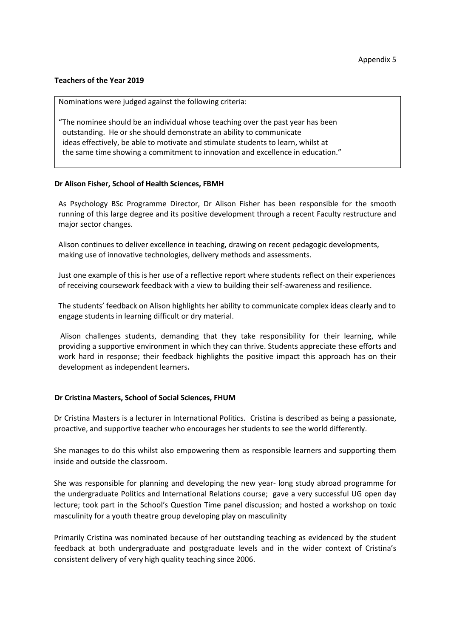## **Teachers of the Year 2019**

Nominations were judged against the following criteria:

"The nominee should be an individual whose teaching over the past year has been outstanding. He or she should demonstrate an ability to communicate ideas effectively, be able to motivate and stimulate students to learn, whilst at the same time showing a commitment to innovation and excellence in education."

## **Dr Alison Fisher, School of Health Sciences, FBMH**

As Psychology BSc Programme Director, Dr Alison Fisher has been responsible for the smooth running of this large degree and its positive development through a recent Faculty restructure and major sector changes.

Alison continues to deliver excellence in teaching, drawing on recent pedagogic developments, making use of innovative technologies, delivery methods and assessments.

Just one example of this is her use of a reflective report where students reflect on their experiences of receiving coursework feedback with a view to building their self-awareness and resilience.

The students' feedback on Alison highlights her ability to communicate complex ideas clearly and to engage students in learning difficult or dry material.

Alison challenges students, demanding that they take responsibility for their learning, while providing a supportive environment in which they can thrive. Students appreciate these efforts and work hard in response; their feedback highlights the positive impact this approach has on their development as independent learners.

## **Dr Cristina Masters, School of Social Sciences, FHUM**

Dr Cristina Masters is a lecturer in International Politics. Cristina is described as being a passionate, proactive, and supportive teacher who encourages her students to see the world differently.

She manages to do this whilst also empowering them as responsible learners and supporting them inside and outside the classroom.

She was responsible for planning and developing the new year- long study abroad programme for the undergraduate Politics and International Relations course; gave a very successful UG open day lecture; took part in the School's Question Time panel discussion; and hosted a workshop on toxic masculinity for a youth theatre group developing play on masculinity

Primarily Cristina was nominated because of her outstanding teaching as evidenced by the student feedback at both undergraduate and postgraduate levels and in the wider context of Cristina's consistent delivery of very high quality teaching since 2006.